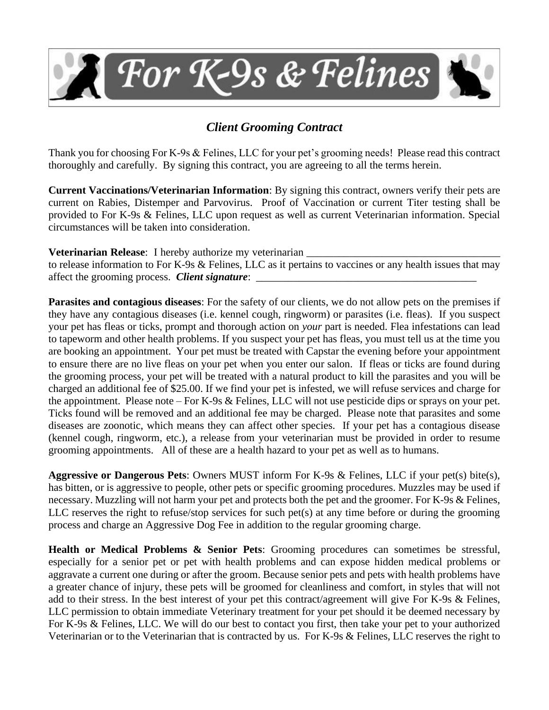

## *Client Grooming Contract*

Thank you for choosing For K-9s & Felines, LLC for your pet's grooming needs! Please read this contract thoroughly and carefully. By signing this contract, you are agreeing to all the terms herein.

**Current Vaccinations/Veterinarian Information**: By signing this contract, owners verify their pets are current on Rabies, Distemper and Parvovirus. Proof of Vaccination or current Titer testing shall be provided to For K-9s & Felines, LLC upon request as well as current Veterinarian information. Special circumstances will be taken into consideration.

**Veterinarian Release:** I hereby authorize my veterinarian

to release information to For K-9s & Felines, LLC as it pertains to vaccines or any health issues that may affect the grooming process. *Client signature*:

**Parasites and contagious diseases**: For the safety of our clients, we do not allow pets on the premises if they have any contagious diseases (i.e. kennel cough, ringworm) or parasites (i.e. fleas). If you suspect your pet has fleas or ticks, prompt and thorough action on *your* part is needed. Flea infestations can lead to tapeworm and other health problems. If you suspect your pet has fleas, you must tell us at the time you are booking an appointment. Your pet must be treated with Capstar the evening before your appointment to ensure there are no live fleas on your pet when you enter our salon. If fleas or ticks are found during the grooming process, your pet will be treated with a natural product to kill the parasites and you will be charged an additional fee of \$25.00. If we find your pet is infested, we will refuse services and charge for the appointment. Please note – For K-9s & Felines, LLC will not use pesticide dips or sprays on your pet. Ticks found will be removed and an additional fee may be charged. Please note that parasites and some diseases are zoonotic, which means they can affect other species. If your pet has a contagious disease (kennel cough, ringworm, etc.), a release from your veterinarian must be provided in order to resume grooming appointments. All of these are a health hazard to your pet as well as to humans.

**Aggressive or Dangerous Pets**: Owners MUST inform For K-9s & Felines, LLC if your pet(s) bite(s), has bitten, or is aggressive to people, other pets or specific grooming procedures. Muzzles may be used if necessary. Muzzling will not harm your pet and protects both the pet and the groomer. For K-9s & Felines, LLC reserves the right to refuse/stop services for such pet(s) at any time before or during the grooming process and charge an Aggressive Dog Fee in addition to the regular grooming charge.

**Health or Medical Problems & Senior Pets**: Grooming procedures can sometimes be stressful, especially for a senior pet or pet with health problems and can expose hidden medical problems or aggravate a current one during or after the groom. Because senior pets and pets with health problems have a greater chance of injury, these pets will be groomed for cleanliness and comfort, in styles that will not add to their stress. In the best interest of your pet this contract/agreement will give For K-9s & Felines, LLC permission to obtain immediate Veterinary treatment for your pet should it be deemed necessary by For K-9s & Felines, LLC. We will do our best to contact you first, then take your pet to your authorized Veterinarian or to the Veterinarian that is contracted by us. For K-9s & Felines, LLC reserves the right to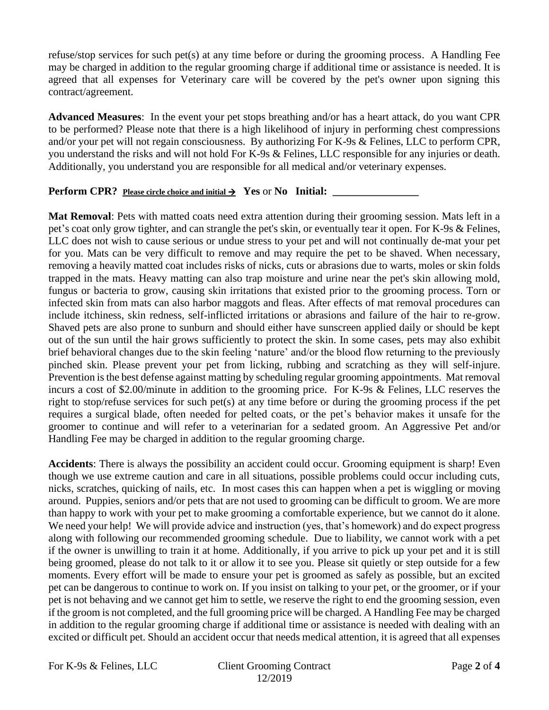refuse/stop services for such pet(s) at any time before or during the grooming process. A Handling Fee may be charged in addition to the regular grooming charge if additional time or assistance is needed. It is agreed that all expenses for Veterinary care will be covered by the pet's owner upon signing this contract/agreement.

**Advanced Measures**: In the event your pet stops breathing and/or has a heart attack, do you want CPR to be performed? Please note that there is a high likelihood of injury in performing chest compressions and/or your pet will not regain consciousness. By authorizing For K-9s & Felines, LLC to perform CPR, you understand the risks and will not hold For K-9s & Felines, LLC responsible for any injuries or death. Additionally, you understand you are responsible for all medical and/or veterinary expenses.

## **Perform CPR? Please circle choice and initial** → **Yes** or **No Initial: \_\_\_\_\_\_\_\_\_\_\_\_\_\_\_\_**

**Mat Removal**: Pets with matted coats need extra attention during their grooming session. Mats left in a pet's coat only grow tighter, and can strangle the pet's skin, or eventually tear it open. For K-9s & Felines, LLC does not wish to cause serious or undue stress to your pet and will not continually de-mat your pet for you. Mats can be very difficult to remove and may require the pet to be shaved. When necessary, removing a heavily matted coat includes risks of nicks, cuts or abrasions due to warts, moles or skin folds trapped in the mats. Heavy matting can also trap moisture and urine near the pet's skin allowing mold, fungus or bacteria to grow, causing skin irritations that existed prior to the grooming process. Torn or infected skin from mats can also harbor maggots and fleas. After effects of mat removal procedures can include itchiness, skin redness, self-inflicted irritations or abrasions and failure of the hair to re-grow. Shaved pets are also prone to sunburn and should either have sunscreen applied daily or should be kept out of the sun until the hair grows sufficiently to protect the skin. In some cases, pets may also exhibit brief behavioral changes due to the skin feeling 'nature' and/or the blood flow returning to the previously pinched skin. Please prevent your pet from licking, rubbing and scratching as they will self-injure. Prevention is the best defense against matting by scheduling regular grooming appointments. Mat removal incurs a cost of \$2.00/minute in addition to the grooming price. For K-9s & Felines, LLC reserves the right to stop/refuse services for such pet(s) at any time before or during the grooming process if the pet requires a surgical blade, often needed for pelted coats, or the pet's behavior makes it unsafe for the groomer to continue and will refer to a veterinarian for a sedated groom. An Aggressive Pet and/or Handling Fee may be charged in addition to the regular grooming charge.

**Accidents**: There is always the possibility an accident could occur. Grooming equipment is sharp! Even though we use extreme caution and care in all situations, possible problems could occur including cuts, nicks, scratches, quicking of nails, etc. In most cases this can happen when a pet is wiggling or moving around. Puppies, seniors and/or pets that are not used to grooming can be difficult to groom. We are more than happy to work with your pet to make grooming a comfortable experience, but we cannot do it alone. We need your help! We will provide advice and instruction (yes, that's homework) and do expect progress along with following our recommended grooming schedule. Due to liability, we cannot work with a pet if the owner is unwilling to train it at home. Additionally, if you arrive to pick up your pet and it is still being groomed, please do not talk to it or allow it to see you. Please sit quietly or step outside for a few moments. Every effort will be made to ensure your pet is groomed as safely as possible, but an excited pet can be dangerous to continue to work on. If you insist on talking to your pet, or the groomer, or if your pet is not behaving and we cannot get him to settle, we reserve the right to end the grooming session, even if the groom is not completed, and the full grooming price will be charged. A Handling Fee may be charged in addition to the regular grooming charge if additional time or assistance is needed with dealing with an excited or difficult pet. Should an accident occur that needs medical attention, it is agreed that all expenses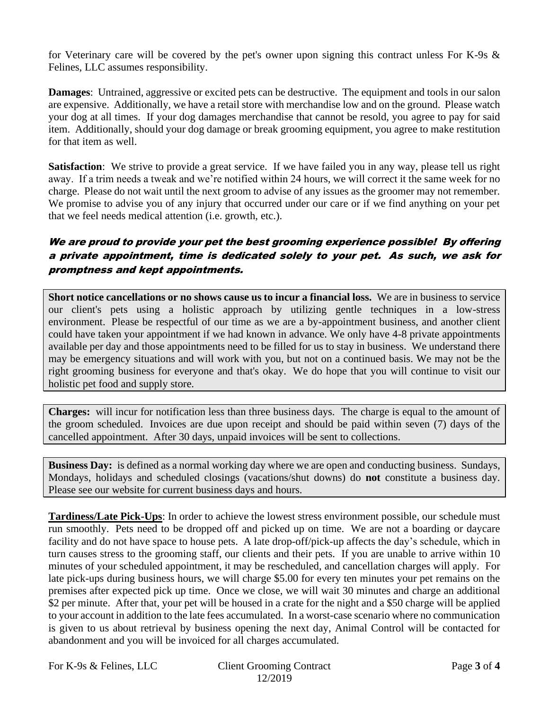for Veterinary care will be covered by the pet's owner upon signing this contract unless For K-9s & Felines, LLC assumes responsibility.

**Damages**: Untrained, aggressive or excited pets can be destructive. The equipment and tools in our salon are expensive. Additionally, we have a retail store with merchandise low and on the ground. Please watch your dog at all times. If your dog damages merchandise that cannot be resold, you agree to pay for said item. Additionally, should your dog damage or break grooming equipment, you agree to make restitution for that item as well.

**Satisfaction**: We strive to provide a great service. If we have failed you in any way, please tell us right away. If a trim needs a tweak and we're notified within 24 hours, we will correct it the same week for no charge. Please do not wait until the next groom to advise of any issues as the groomer may not remember. We promise to advise you of any injury that occurred under our care or if we find anything on your pet that we feel needs medical attention (i.e. growth, etc.).

## We are proud to provide your pet the best grooming experience possible! By offering a private appointment, time is dedicated solely to your pet. As such, we ask for promptness and kept appointments.

**Short notice cancellations or no shows cause us to incur a financial loss.** We are in business to service our client's pets using a holistic approach by utilizing gentle techniques in a low-stress environment. Please be respectful of our time as we are a by-appointment business, and another client could have taken your appointment if we had known in advance. We only have 4-8 private appointments available per day and those appointments need to be filled for us to stay in business. We understand there may be emergency situations and will work with you, but not on a continued basis. We may not be the right grooming business for everyone and that's okay. We do hope that you will continue to visit our holistic pet food and supply store.

**Charges:** will incur for notification less than three business days. The charge is equal to the amount of the groom scheduled. Invoices are due upon receipt and should be paid within seven (7) days of the cancelled appointment. After 30 days, unpaid invoices will be sent to collections.

**Business Day:** is defined as a normal working day where we are open and conducting business. Sundays, Mondays, holidays and scheduled closings (vacations/shut downs) do **not** constitute a business day. Please see our website for current business days and hours.

**Tardiness/Late Pick-Ups**: In order to achieve the lowest stress environment possible, our schedule must run smoothly. Pets need to be dropped off and picked up on time. We are not a boarding or daycare facility and do not have space to house pets. A late drop-off/pick-up affects the day's schedule, which in turn causes stress to the grooming staff, our clients and their pets. If you are unable to arrive within 10 minutes of your scheduled appointment, it may be rescheduled, and cancellation charges will apply. For late pick-ups during business hours, we will charge \$5.00 for every ten minutes your pet remains on the premises after expected pick up time. Once we close, we will wait 30 minutes and charge an additional \$2 per minute. After that, your pet will be housed in a crate for the night and a \$50 charge will be applied to your account in addition to the late fees accumulated. In a worst-case scenario where no communication is given to us about retrieval by business opening the next day, Animal Control will be contacted for abandonment and you will be invoiced for all charges accumulated.